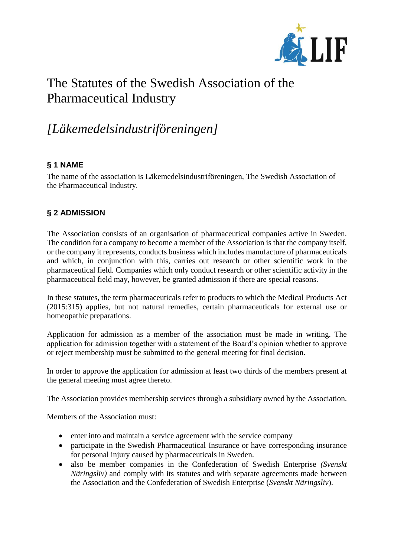

# The Statutes of the Swedish Association of the Pharmaceutical Industry

## *[Läkemedelsindustriföreningen]*

## **§ 1 NAME**

The name of the association is Läkemedelsindustriföreningen, The Swedish Association of the Pharmaceutical Industry.

## **§ 2 ADMISSION**

The Association consists of an organisation of pharmaceutical companies active in Sweden. The condition for a company to become a member of the Association is that the company itself, or the company it represents, conducts business which includes manufacture of pharmaceuticals and which, in conjunction with this, carries out research or other scientific work in the pharmaceutical field. Companies which only conduct research or other scientific activity in the pharmaceutical field may, however, be granted admission if there are special reasons.

In these statutes, the term pharmaceuticals refer to products to which the Medical Products Act (2015:315) applies, but not natural remedies, certain pharmaceuticals for external use or homeopathic preparations.

Application for admission as a member of the association must be made in writing. The application for admission together with a statement of the Board's opinion whether to approve or reject membership must be submitted to the general meeting for final decision.

In order to approve the application for admission at least two thirds of the members present at the general meeting must agree thereto.

The Association provides membership services through a subsidiary owned by the Association.

Members of the Association must:

- enter into and maintain a service agreement with the service company
- participate in the Swedish Pharmaceutical Insurance or have corresponding insurance for personal injury caused by pharmaceuticals in Sweden.
- also be member companies in the Confederation of Swedish Enterprise *(Svenskt Näringsliv)* and comply with its statutes and with separate agreements made between the Association and the Confederation of Swedish Enterprise (*Svenskt Näringsliv*).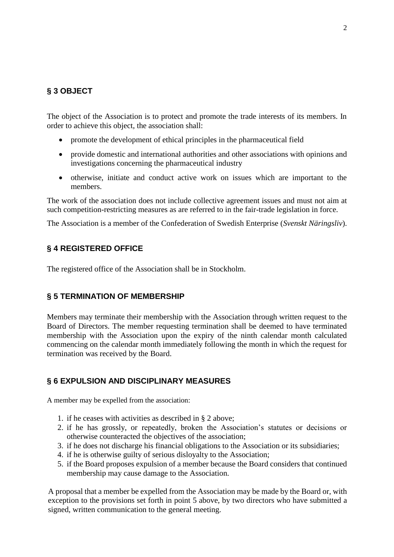## **§ 3 OBJECT**

The object of the Association is to protect and promote the trade interests of its members. In order to achieve this object, the association shall:

- promote the development of ethical principles in the pharmaceutical field
- provide domestic and international authorities and other associations with opinions and investigations concerning the pharmaceutical industry
- otherwise, initiate and conduct active work on issues which are important to the members.

The work of the association does not include collective agreement issues and must not aim at such competition-restricting measures as are referred to in the fair-trade legislation in force.

The Association is a member of the Confederation of Swedish Enterprise (*Svenskt Näringsliv*).

## **§ 4 REGISTERED OFFICE**

The registered office of the Association shall be in Stockholm.

#### **§ 5 TERMINATION OF MEMBERSHIP**

Members may terminate their membership with the Association through written request to the Board of Directors. The member requesting termination shall be deemed to have terminated membership with the Association upon the expiry of the ninth calendar month calculated commencing on the calendar month immediately following the month in which the request for termination was received by the Board.

## **§ 6 EXPULSION AND DISCIPLINARY MEASURES**

A member may be expelled from the association:

- 1. if he ceases with activities as described in § 2 above;
- 2. if he has grossly, or repeatedly, broken the Association's statutes or decisions or otherwise counteracted the objectives of the association;
- 3. if he does not discharge his financial obligations to the Association or its subsidiaries;
- 4. if he is otherwise guilty of serious disloyalty to the Association;
- 5. if the Board proposes expulsion of a member because the Board considers that continued membership may cause damage to the Association.

A proposal that a member be expelled from the Association may be made by the Board or, with exception to the provisions set forth in point 5 above, by two directors who have submitted a signed, written communication to the general meeting.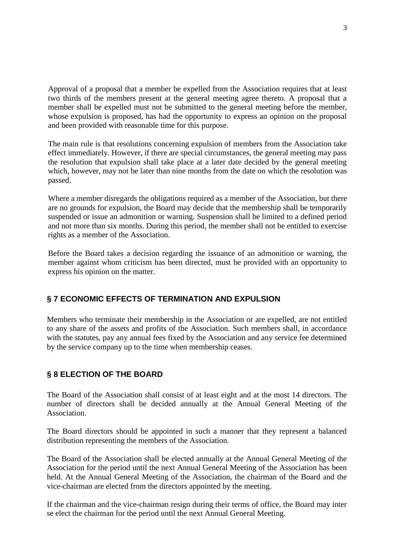Approval of a proposal that a member be expelled from the Association requires that at least two thirds of the members present at the general meeting agree thereto. A proposal that a member shall be expelled must not be submitted to the general meeting before the member, whose expulsion is proposed, has had the opportunity to express an opinion on the proposal and been provided with reasonable time for this purpose.

The main rule is that resolutions concerning expulsion of members from the Association take effect immediately. However, if there are special circumstances, the general meeting may pass the resolution that expulsion shall take place at a later date decided by the general meeting which, however, may not be later than nine months from the date on which the resolution was passed.

Where a member disregards the obligations required as a member of the Association, but there are no grounds for expulsion, the Board may decide that the membership shall be temporarily suspended or issue an admonition or warning. Suspension shall be limited to a defined period and not more than six months. During this period, the member shall not be entitled to exercise rights as a member of the Association.

Before the Board takes a decision regarding the issuance of an admonition or warning, the member against whom criticism has been directed, must be provided with an opportunity to express his opinion on the matter.

## **§ 7 ECONOMIC EFFECTS OF TERMINATION AND EXPULSION**

Members who terminate their membership in the Association or are expelled, are not entitled to any share of the assets and profits of the Association. Such members shall, in accordance with the statutes, pay any annual fees fixed by the Association and any service fee determined by the service company up to the time when membership ceases.

## **§ 8 ELECTION OF THE BOARD**

The Board of the Association shall consist of at least eight and at the most 14 directors. The number of directors shall be decided annually at the Annual General Meeting of the Association.

The Board directors should be appointed in such a manner that they represent a balanced distribution representing the members of the Association.

The Board of the Association shall be elected annually at the Annual General Meeting of the Association for the period until the next Annual General Meeting of the Association has been held. At the Annual General Meeting of the Association, the chairman of the Board and the vice-chairman are elected from the directors appointed by the meeting.

If the chairman and the vice-chairman resign during their terms of office, the Board may inter se elect the chairman for the period until the next Annual General Meeting.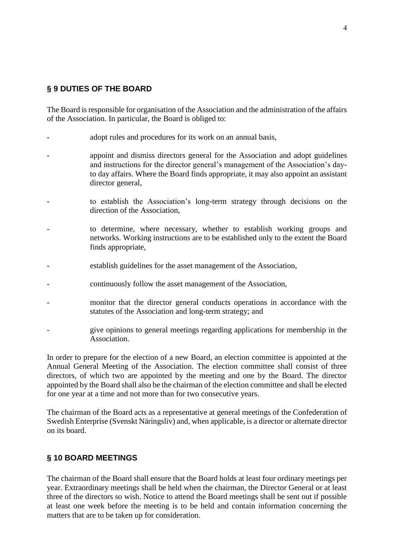## **§ 9 DUTIES OF THE BOARD**

The Board is responsible for organisation of the Association and the administration of the affairs of the Association. In particular, the Board is obliged to:

- adopt rules and procedures for its work on an annual basis,
- appoint and dismiss directors general for the Association and adopt guidelines and instructions for the director general's management of the Association's dayto day affairs. Where the Board finds appropriate, it may also appoint an assistant director general,
- to establish the Association's long-term strategy through decisions on the direction of the Association,
- to determine, where necessary, whether to establish working groups and networks. Working instructions are to be established only to the extent the Board finds appropriate,
- establish guidelines for the asset management of the Association,
- continuously follow the asset management of the Association,
- monitor that the director general conducts operations in accordance with the statutes of the Association and long-term strategy; and
- give opinions to general meetings regarding applications for membership in the Association.

In order to prepare for the election of a new Board, an election committee is appointed at the Annual General Meeting of the Association. The election committee shall consist of three directors, of which two are appointed by the meeting and one by the Board. The director appointed by the Board shall also be the chairman of the election committee and shall be elected for one year at a time and not more than for two consecutive years.

The chairman of the Board acts as a representative at general meetings of the Confederation of Swedish Enterprise (Svenskt Näringsliv) and, when applicable, is a director or alternate director on its board.

#### **§ 10 BOARD MEETINGS**

The chairman of the Board shall ensure that the Board holds at least four ordinary meetings per year. Extraordinary meetings shall be held when the chairman, the Director General or at least three of the directors so wish. Notice to attend the Board meetings shall be sent out if possible at least one week before the meeting is to be held and contain information concerning the matters that are to be taken up for consideration.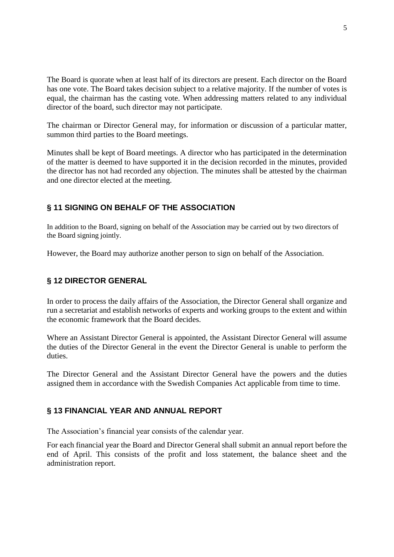The Board is quorate when at least half of its directors are present. Each director on the Board has one vote. The Board takes decision subject to a relative majority. If the number of votes is equal, the chairman has the casting vote. When addressing matters related to any individual director of the board, such director may not participate.

The chairman or Director General may, for information or discussion of a particular matter, summon third parties to the Board meetings.

Minutes shall be kept of Board meetings. A director who has participated in the determination of the matter is deemed to have supported it in the decision recorded in the minutes, provided the director has not had recorded any objection. The minutes shall be attested by the chairman and one director elected at the meeting.

#### **§ 11 SIGNING ON BEHALF OF THE ASSOCIATION**

In addition to the Board, signing on behalf of the Association may be carried out by two directors of the Board signing jointly.

However, the Board may authorize another person to sign on behalf of the Association.

#### **§ 12 DIRECTOR GENERAL**

In order to process the daily affairs of the Association, the Director General shall organize and run a secretariat and establish networks of experts and working groups to the extent and within the economic framework that the Board decides.

Where an Assistant Director General is appointed, the Assistant Director General will assume the duties of the Director General in the event the Director General is unable to perform the duties.

The Director General and the Assistant Director General have the powers and the duties assigned them in accordance with the Swedish Companies Act applicable from time to time.

#### **§ 13 FINANCIAL YEAR AND ANNUAL REPORT**

The Association's financial year consists of the calendar year.

For each financial year the Board and Director General shall submit an annual report before the end of April. This consists of the profit and loss statement, the balance sheet and the administration report.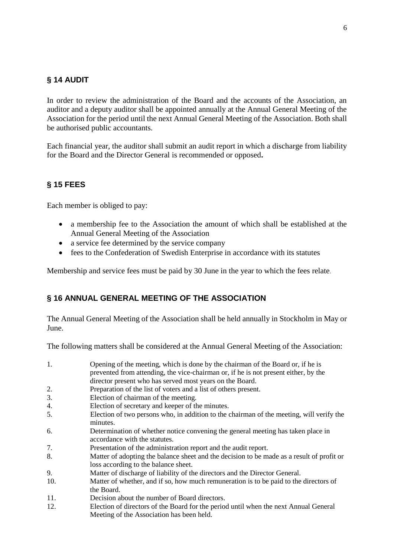## **§ 14 AUDIT**

In order to review the administration of the Board and the accounts of the Association, an auditor and a deputy auditor shall be appointed annually at the Annual General Meeting of the Association for the period until the next Annual General Meeting of the Association. Both shall be authorised public accountants.

Each financial year, the auditor shall submit an audit report in which a discharge from liability for the Board and the Director General is recommended or opposed**.**

## **§ 15 FEES**

Each member is obliged to pay:

- a membership fee to the Association the amount of which shall be established at the Annual General Meeting of the Association
- a service fee determined by the service company
- fees to the Confederation of Swedish Enterprise in accordance with its statutes

Membership and service fees must be paid by 30 June in the year to which the fees relate.

#### **§ 16 ANNUAL GENERAL MEETING OF THE ASSOCIATION**

The Annual General Meeting of the Association shall be held annually in Stockholm in May or June.

The following matters shall be considered at the Annual General Meeting of the Association:

| 1.  | Opening of the meeting, which is done by the chairman of the Board or, if he is                                                   |
|-----|-----------------------------------------------------------------------------------------------------------------------------------|
|     | prevented from attending, the vice-chairman or, if he is not present either, by the                                               |
|     | director present who has served most years on the Board.                                                                          |
| 2.  | Preparation of the list of voters and a list of others present.                                                                   |
| 3.  | Election of chairman of the meeting.                                                                                              |
| 4.  | Election of secretary and keeper of the minutes.                                                                                  |
| 5.  | Election of two persons who, in addition to the chairman of the meeting, will verify the<br>minutes.                              |
| 6.  | Determination of whether notice convening the general meeting has taken place in<br>accordance with the statutes.                 |
| 7.  | Presentation of the administration report and the audit report.                                                                   |
| 8.  | Matter of adopting the balance sheet and the decision to be made as a result of profit or<br>loss according to the balance sheet. |
| 9.  | Matter of discharge of liability of the directors and the Director General.                                                       |
| 10. | Matter of whether, and if so, how much remuneration is to be paid to the directors of<br>the Board.                               |
| 11. | Decision about the number of Board directors.                                                                                     |
| 12. | Election of directors of the Board for the period until when the next Annual General<br>Meeting of the Association has been held. |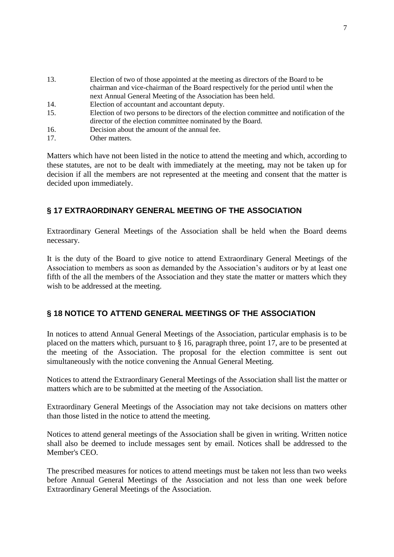- 13. Election of two of those appointed at the meeting as directors of the Board to be chairman and vice-chairman of the Board respectively for the period until when the next Annual General Meeting of the Association has been held.
- 14. Election of accountant and accountant deputy.
- 15. Election of two persons to be directors of the election committee and notification of the director of the election committee nominated by the Board.
- 16. Decision about the amount of the annual fee.
- 17. Other matters.

Matters which have not been listed in the notice to attend the meeting and which, according to these statutes, are not to be dealt with immediately at the meeting, may not be taken up for decision if all the members are not represented at the meeting and consent that the matter is decided upon immediately.

## **§ 17 EXTRAORDINARY GENERAL MEETING OF THE ASSOCIATION**

Extraordinary General Meetings of the Association shall be held when the Board deems necessary.

It is the duty of the Board to give notice to attend Extraordinary General Meetings of the Association to members as soon as demanded by the Association's auditors or by at least one fifth of the all the members of the Association and they state the matter or matters which they wish to be addressed at the meeting.

## **§ 18 NOTICE TO ATTEND GENERAL MEETINGS OF THE ASSOCIATION**

In notices to attend Annual General Meetings of the Association, particular emphasis is to be placed on the matters which, pursuant to § 16, paragraph three, point 17, are to be presented at the meeting of the Association. The proposal for the election committee is sent out simultaneously with the notice convening the Annual General Meeting.

Notices to attend the Extraordinary General Meetings of the Association shall list the matter or matters which are to be submitted at the meeting of the Association.

Extraordinary General Meetings of the Association may not take decisions on matters other than those listed in the notice to attend the meeting.

Notices to attend general meetings of the Association shall be given in writing. Written notice shall also be deemed to include messages sent by email. Notices shall be addressed to the Member's CEO.

The prescribed measures for notices to attend meetings must be taken not less than two weeks before Annual General Meetings of the Association and not less than one week before Extraordinary General Meetings of the Association.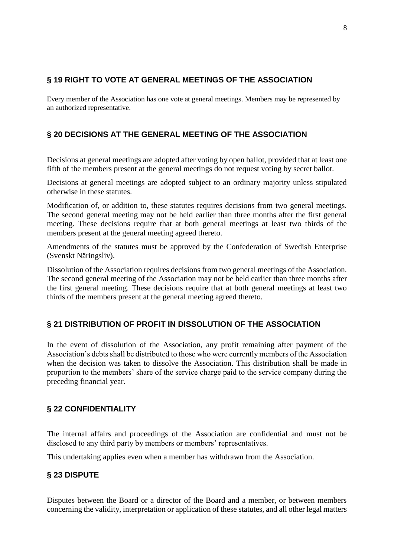## **§ 19 RIGHT TO VOTE AT GENERAL MEETINGS OF THE ASSOCIATION**

Every member of the Association has one vote at general meetings. Members may be represented by an authorized representative.

## **§ 20 DECISIONS AT THE GENERAL MEETING OF THE ASSOCIATION**

Decisions at general meetings are adopted after voting by open ballot, provided that at least one fifth of the members present at the general meetings do not request voting by secret ballot.

Decisions at general meetings are adopted subject to an ordinary majority unless stipulated otherwise in these statutes.

Modification of, or addition to, these statutes requires decisions from two general meetings. The second general meeting may not be held earlier than three months after the first general meeting. These decisions require that at both general meetings at least two thirds of the members present at the general meeting agreed thereto.

Amendments of the statutes must be approved by the Confederation of Swedish Enterprise (Svenskt Näringsliv).

Dissolution of the Association requires decisions from two general meetings of the Association. The second general meeting of the Association may not be held earlier than three months after the first general meeting. These decisions require that at both general meetings at least two thirds of the members present at the general meeting agreed thereto.

## **§ 21 DISTRIBUTION OF PROFIT IN DISSOLUTION OF THE ASSOCIATION**

In the event of dissolution of the Association, any profit remaining after payment of the Association's debts shall be distributed to those who were currently members of the Association when the decision was taken to dissolve the Association. This distribution shall be made in proportion to the members' share of the service charge paid to the service company during the preceding financial year.

## **§ 22 CONFIDENTIALITY**

The internal affairs and proceedings of the Association are confidential and must not be disclosed to any third party by members or members' representatives.

This undertaking applies even when a member has withdrawn from the Association.

## **§ 23 DISPUTE**

Disputes between the Board or a director of the Board and a member, or between members concerning the validity, interpretation or application of these statutes, and all other legal matters